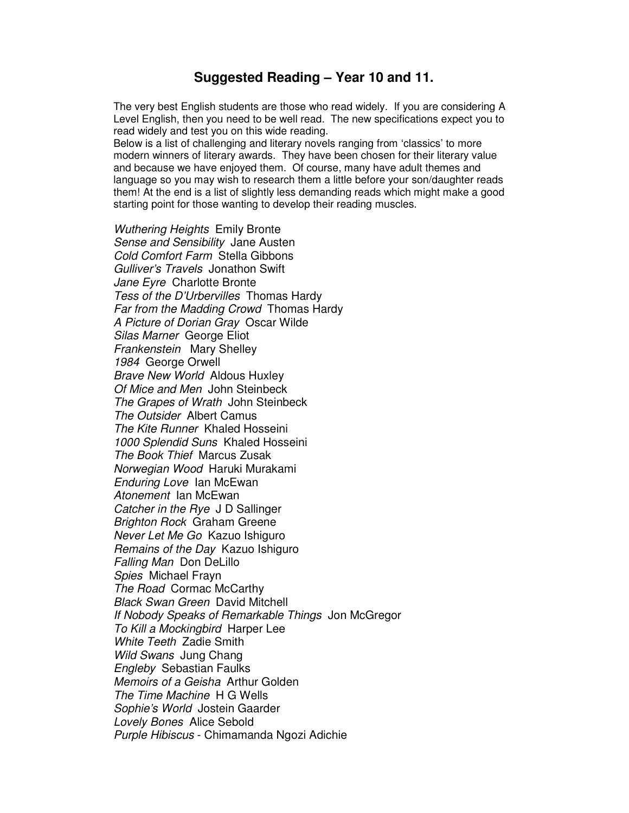## **Suggested Reading – Year 10 and 11.**

The very best English students are those who read widely. If you are considering A Level English, then you need to be well read. The new specifications expect you to read widely and test you on this wide reading.

Below is a list of challenging and literary novels ranging from 'classics' to more modern winners of literary awards. They have been chosen for their literary value and because we have enjoyed them. Of course, many have adult themes and language so you may wish to research them a little before your son/daughter reads them! At the end is a list of slightly less demanding reads which might make a good starting point for those wanting to develop their reading muscles.

Wuthering Heights Emily Bronte Sense and Sensibility Jane Austen Cold Comfort Farm Stella Gibbons Gulliver's Travels Jonathon Swift Jane Eyre Charlotte Bronte Tess of the D'Urbervilles Thomas Hardy Far from the Madding Crowd Thomas Hardy A Picture of Dorian Gray Oscar Wilde Silas Marner George Eliot Frankenstein Mary Shelley 1984 George Orwell Brave New World Aldous Huxley Of Mice and Men John Steinbeck The Grapes of Wrath John Steinbeck The Outsider Albert Camus The Kite Runner Khaled Hosseini 1000 Splendid Suns Khaled Hosseini The Book Thief Marcus Zusak Norwegian Wood Haruki Murakami Enduring Love Ian McEwan Atonement Ian McEwan Catcher in the Rye J D Sallinger Brighton Rock Graham Greene Never Let Me Go Kazuo Ishiguro Remains of the Day Kazuo Ishiguro Falling Man Don DeLillo Spies Michael Frayn The Road Cormac McCarthy Black Swan Green David Mitchell If Nobody Speaks of Remarkable Things Jon McGregor To Kill a Mockingbird Harper Lee White Teeth Zadie Smith Wild Swans Jung Chang Engleby Sebastian Faulks Memoirs of a Geisha Arthur Golden The Time Machine H G Wells Sophie's World Jostein Gaarder Lovely Bones Alice Sebold Purple Hibiscus - Chimamanda Ngozi Adichie